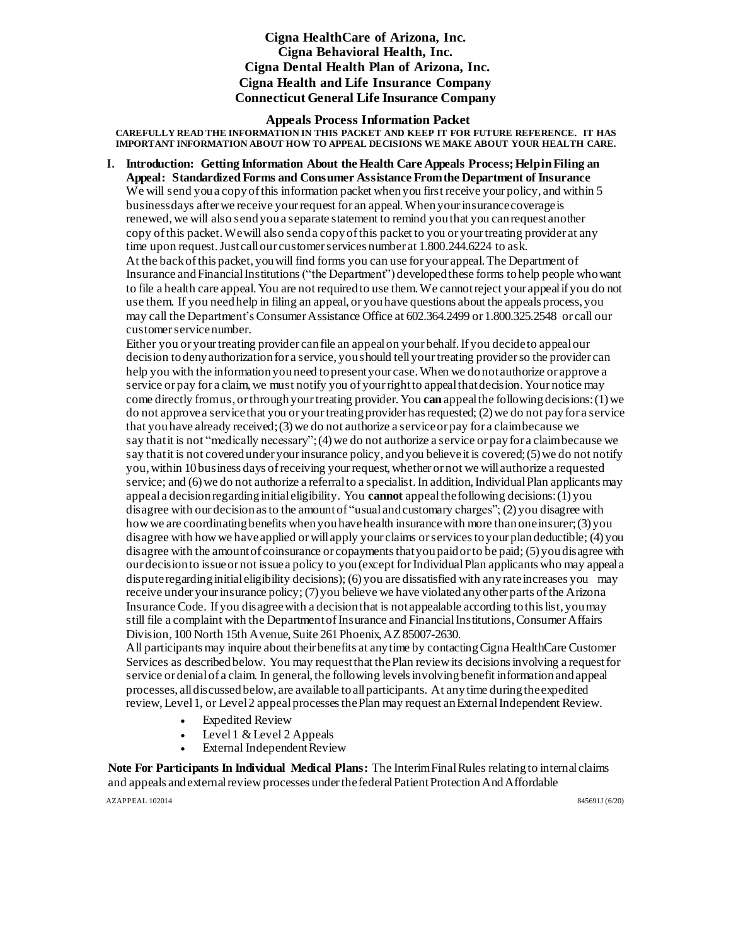# **Cigna HealthCare of Arizona, Inc. Cigna Behavioral Health, Inc. Cigna Dental Health Plan of Arizona, Inc. Cigna Health and Life Insurance Company Connecticut General Life Insurance Company**

**Appeals Process Information Packet**

**CAREFULLY READ THE INFORMATION IN THIS PACKET AND KEEP IT FOR FUTURE REFERENCE. IT HAS IMPORTANT INFORMATION ABOUT HOW TO APPEAL DECISIONS WE MAKE ABOUT YOUR HEALTH CARE.**

**I. Introduction: Getting Information About the Health Care Appeals Process;HelpinFiling an Appeal: StandardizedForms and Consumer Assistance Fromthe Department of Insurance** We will send you a copy of this information packet when you first receive your policy, and within 5 business days after we receive your request for an appeal. When your insurance coverage is renewed, we will also send you a separate statement to remind you that you can request another copy of this packet. We will also send a copy of this packet to you or your treating provider at any time upon request. Just call our customer services number at 1.800.244.6224 to ask. At the backofthis packet, youwill find forms you can use for your appeal.The Department of Insurance and Financial Institutions("the Department") developedthese forms tohelp people whowant to file a health care appeal.You are not requiredto use them.We cannotreject your appealif you do not use them. If you needhelp in filing an appeal, or youhave questions about the appeals process, you may call the Department's Consumer Assistance Office at 602.364.2499 or 1.800.325.2548 or call our customer service number.

Either you or yourtreating provider canfile an appealon your behalf.If you decideto appealour decision todenyauthorization for a service, youshould tellyourtreating providerso the provider can help you with the information you need to present your case. When we do not authorize or approve a service or pay for a claim, we must notify you of your right to appeal that decision. Your notice may come directly fromus, or through your treating provider. You **can** appeal the following decisions: (1) we do not approve a service that you or your treating provider has requested; (2) we do not pay for a service that youhave already received;(3)we do not authorize a serviceor pay for a claimbecause we say that it is not "medically necessary"; (4) we do not authorize a service or pay for a claimbecause we say that it is not covered under your insurance policy, and you believe it is covered; (5) we do not notify you,within 10business days ofreceiving yourrequest,whether or not we willauthorize a requested service; and (6) we do not authorize a referral to a specialist. In addition, Individual Plan applicants may appeal a decision regarding initial eligibility. You **cannot** appeal the following decisions: (1) you disagree with our decisionasto the amountof "usual andcustomary charges"; (2) you disagree with how we are coordinating benefits when you have health insurance with more than one insurer; (3) you disagree with howwe haveapplied orwillapply your claims orservicestoyour plandeductible; (4) you disagree with the amount of coinsurance or copayments that you paid or to be paid; (5) you disagree with our decisionto issueor not issuea policy to you(except forIndividualPlan applicants who may appeala dispute regarding initial eligibility decisions); (6) you are dissatisfied with any rate increases you may receive under your insurance policy; (7) you believe we have violated any other parts of the Arizona Insurance Code. If you disagreewith a decisionthat is notappealable according tothislist, youmay still file a complaint with the Department of Insurance and Financial Institutions,ConsumerAffairs Division, 100 North 15th Avenue, Suite 261 Phoenix, AZ 85007-2630.

All participants may inquire about their benefits at anytime by contactingCigna HealthCare Customer Services as describedbelow. You may requestthat thePlan reviewits decisionsinvolving a requestfor service or denial of a claim. In general, the following levels involving benefit information and appeal processes, alldiscussedbelow, are available toallparticipants. At anytime duringtheexpedited review, Level 1, or Level 2 appeal processes the Plan may request an External Independent Review.

- Expedited Review
- Level1 &Level 2 Appeals
- External Independent Review

**Note For Participants In Individual Medical Plans:** The InterimFinalRules relatingto internal claims and appeals and external review processes under the federal Patient Protection And Affordable AZAPPEAL 102014 845691J (6/20)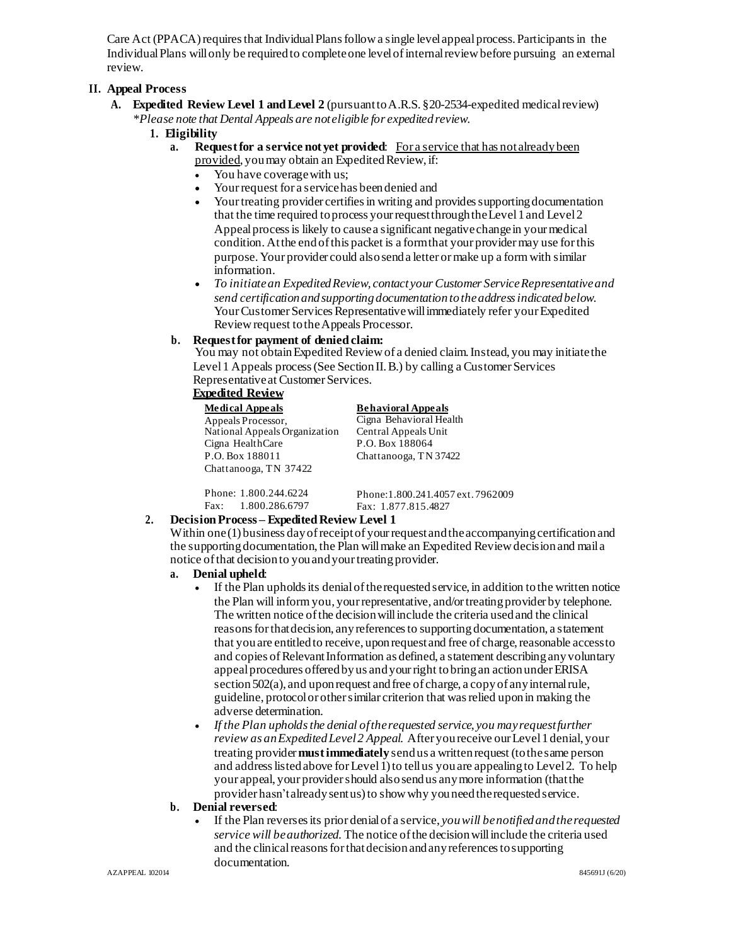Care Act (PPACA) requires that Individual Plans follow a single level appeal process. Participants in the IndividualPlans willonly be requiredto completeone levelofinternalreviewbefore pursuing an external review.

# **II. Appeal Process**

- **A. Expedited Review Level 1 andLevel 2** (pursuanttoA.R.S. §20-2534-expedited medicalreview) *\*Please note that Dental Appeals are noteligible for expeditedreview.*
	- **1. Eligibility**
		- **a. Requestfor a service not yet provided**: For a service that has notalreadybeen provided, you may obtain an Expedited Review, if:
			- You have coverage with us;
			- Yourrequest for a service has beendenied and
			- Your treating provider certifies in writing and provides supporting documentation that the time required to process your request through the Level 1 and Level 2 Appealprocessis likely to causea significant negativechangein your medical condition. At the end of this packet is a form that your provider may use for this purpose. Your provider could alsosenda letter ormake up a formwith similar information.
			- *To initiatean ExpeditedReview, contact yourCustomer ServiceRepresentativeand send certificationandsupportingdocumentation totheaddressindicatedbelow.* Your Customer Services Representative will immediately refer your Expedited Review request to the Appeals Processor.

# **b. Requestfor payment of denied claim:**

You may not obtainExpedited Reviewof a denied claim.Instead, you may initiatethe Level 1 Appeals process (See Section II. B.) by calling a Customer Services Representative at Customer Services.

# **Expedited Review**

| Medical Appeals               | <b>Behavioral Appeals</b> |
|-------------------------------|---------------------------|
| Appeals Processor,            | Cigna Behavioral Health   |
| National Appeals Organization | Central Appeals Unit      |
| Cigna HealthCare              | P.O. Box 188064           |
| P.O. Box 188011               | Chattanooga, TN 37422     |
| Chattanooga, TN 37422         |                           |

Phone: 1.800.244.6224 Fax: 1.800.286.6797

Phone:1.800.241.4057 ext.7962009 Fax: 1.877.815.4827

### 2. **Decision Process – Expedited Review Level 1**

Within one  $(1)$  business day of receipt of your request and the accompanying certification and the supporting documentation, the Plan willmake an Expedited Reviewdecisionand maila notice of that decision to you and your treating provider.

# **a. Denial upheld**:

- If the Plan upholds its denial of the requested service, in addition to the written notice the Plan will inform you, your representative, and/or treating provider by telephone. The written notice of the decision will include the criteria used and the clinical reasons for that decision, any references to supporting documentation, a statement that you are entitled to receive, upon request and free of charge, reasonable access to and copies of Relevant Information as defined, a statement describing any voluntary appeal procedures offered by us and your right to bring an action under ERISA section 502(a), and upon request and free of charge, a copy of any internal rule, guideline, protocolor othersimilar criterion that wasrelied uponin making the adverse determination.
- *If the Plan upholdsthe denial oftherequested service, you mayrequestfurther review as anExpeditedLevel2 Appeal.* After youreceive ourLevel1denial, your treating provider **mustimmediately** sendus a writtenrequest (tothesame person and address listed above for Level 1) to tell us you are appealing to Level 2. To help your appeal, your providershould alsosendus anymore information (thatthe provider hasn't already sentus) to show why you need the requested service.

### **b. Denial reversed**:

 If the Plan reversesits prior denialof a service, *youwill benotifiedandtherequested service will beauthorized*. The notice ofthe decisionwillinclude the criteria used and the clinical reasons for that decision and any references to supporting documentation.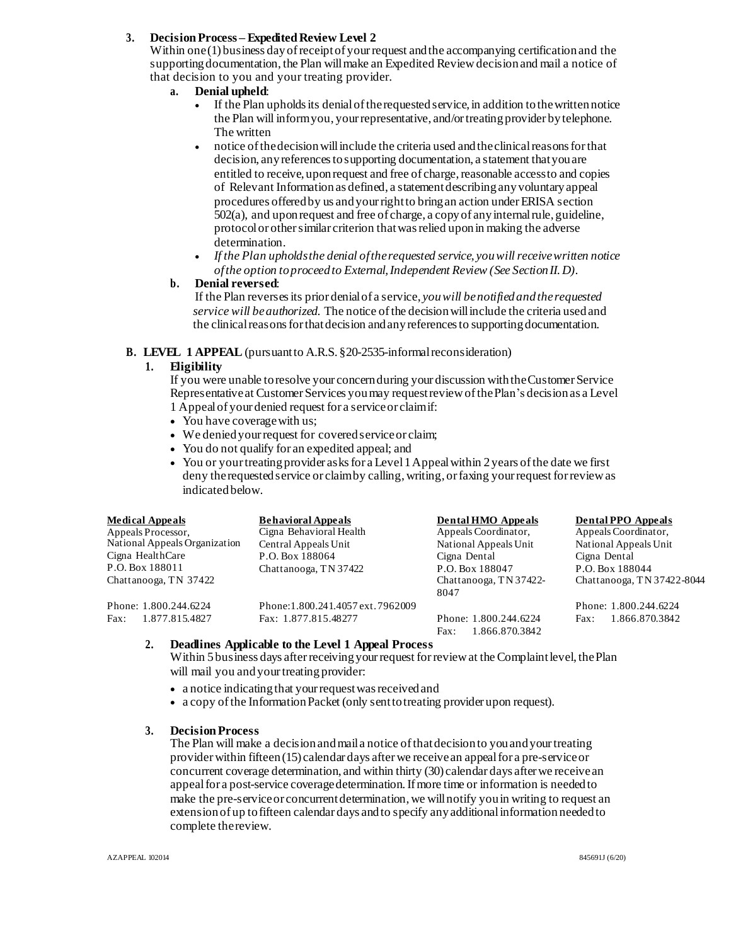# **3. DecisionProcess – ExpeditedReview Level 2**

Within one(1) business dayofreceiptof yourrequest andthe accompanying certificationand the supporting documentation, the Plan will make an Expedited Review decision and mail a notice of that decision to you and your treating provider.

- **a. Denial upheld**:
	- If the Plan upholds its denial of the requested service, in addition to the written notice the Plan will informyou, your representative, and/or treating provider by telephone. The written
	- notice ofthedecisionwillinclude the criteria used andtheclinicalreasonsforthat decision, anyreferencestosupporting documentation, a statement thatyouare entitled to receive, upon request and free of charge, reasonable access to and copies of Relevant Informationas defined, a statementdescribing anyvoluntaryappeal procedures offeredby us andyourrightto bringan action underERISA section 502(a), and uponrequest and free of charge, a copyof anyinternalrule, guideline, protocolor othersimilar criterion thatwasrelied uponin making the adverse determination.
	- *If the Plan upholdsthe denial oftherequested service, youwillreceive written notice ofthe option toproceedto External,Independent Review (See SectionII.D).*

### **b. Denial reversed**:

If the Plan reversesits prior denialof a service, *youwill benotifiedandtherequested service will beauthorized*. The notice ofthe decisionwillinclude the criteria usedand the clinical reasons for that decision and any references to supporting documentation.

### **B. LEVEL 1 APPEAL** (pursuantto A.R.S. §20-2535-informalreconsideration)

### **1. Eligibility**

If you were unable to resolve your concern during your discussion with the Customer Service Representative at Customer Services you may request review of the Plan's decision as a Level 1 Appealof your denied request for a serviceor claimif:

- You have coverage with us;
- We denied your request for covered service or claim;
- You do not qualify for an expedited appeal; and
- You or your treating provider as ks for a Level 1 Appeal within 2 years of the date we first deny the requested service or claimby calling, writing, or faxing your request for review as indicatedbelow.

| <b>Medical Appeals</b>        | <b>Behavioral Appeals</b>        | <b>Dental HMO Appeals</b>                       | <b>Dental PPO Appeals</b>  |
|-------------------------------|----------------------------------|-------------------------------------------------|----------------------------|
| Appeals Processor,            | Cigna Behavioral Health          | Appeals Coordinator,                            | Appeals Coordinator,       |
| National Appeals Organization | Central Appeals Unit             | National Appeals Unit                           | National Appeals Unit      |
| Cigna HealthCare              | P.O. Box 188064                  | Cigna Dental                                    | Cigna Dental               |
| P.O. Box 188011               | Chattanooga, TN 37422            | P.O. Box 188047                                 | P.O. Box 188044            |
| Chattanooga, TN 37422         |                                  | Chattanooga, TN 37422-<br>8047                  | Chattanooga, TN 37422-8044 |
| Phone: 1.800.244.6224         | Phone:1.800.241.4057 ext.7962009 |                                                 | Phone: 1.800.244.6224      |
| Fax:<br>1.877.815.4827        | Fax: 1.877.815.48277             | Phone: 1.800.244.6224<br>1.866.870.3842<br>Fax: | 1.866.870.3842<br>Fax:     |

# **2. Deadlines Applicable to the Level 1 Appeal Process**

Within 5 business days after receiving your request for review at the Complaint level, the Plan will mail you and your treating provider:

- a notice indicating that your request was received and
- a copy ofthe InformationPacket (only senttotreating provider upon request).

### **3. DecisionProcess**

The Plan will make a decisionandmaila notice ofthatdecisionto youand yourtreating providerwithin fifteen(15) calendar days afterwe receivean appealfor a pre-serviceor concurrent coverage determination, and within thirty (30) calendar days afterwe receivean appeal for a post-service coverage determination. If more time or information is needed to make the pre-service or concurrent determination, we will notify you in writing to request an extension of up tofifteen calendar days andto specify anyadditionalinformation neededto complete thereview.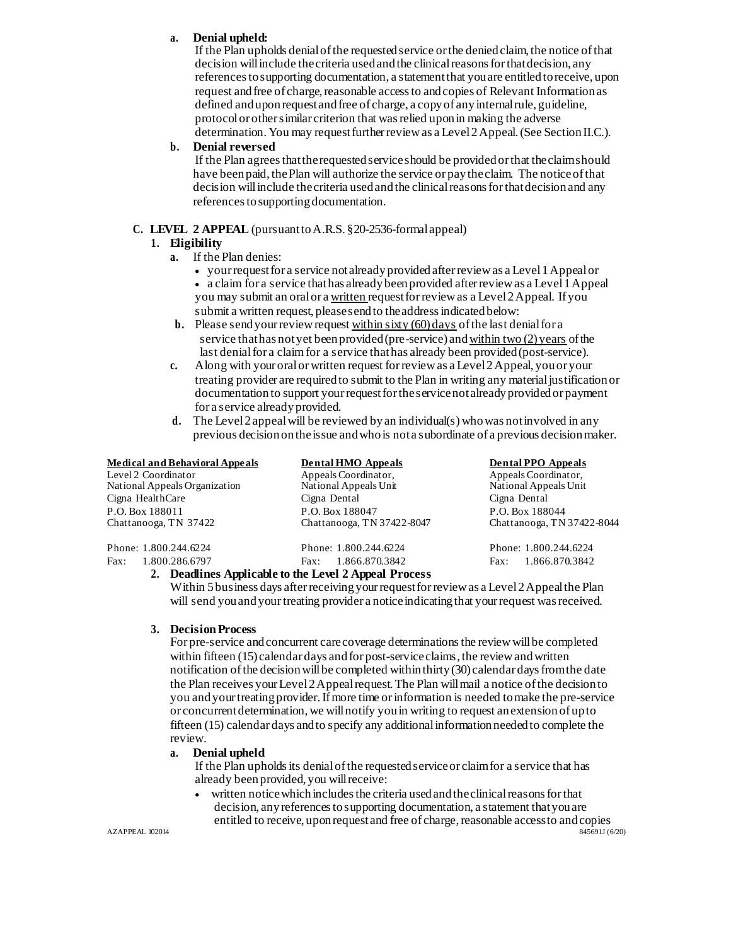# **a. Denial upheld:**

If the Plan upholds denial of the requested service or the denied claim, the notice of that decision willinclude thecriteria usedandthe clinicalreasonsforthatdecision, any references to supporting documentation, a statement that you are entitled to receive, upon request and free of charge, reasonable access to and copies of Relevant Information as defined and upon request and free of charge, a copy of any internal rule, guideline, protocolor othersimilar criterion that wasrelied uponin making the adverse determination. You may request further review as a Level  $2$  Appeal. (See Section II.C.).

### **b. Denial reversed**

If the Plan agreesthattherequestedserviceshould be providedorthat theclaimshould have been paid, the Plan will authorize the service or pay the claim. The notice of that decision will include the criteria used and the clinical reasons for that decision and any referencestosupportingdocumentation*.*

# **C. LEVEL 2 APPEAL** (pursuanttoA.R.S. §20-2536-formal appeal)

### **1. Eligibility**

- **a.** If the Plan denies:
	- yourrequestfor a service notalreadyprovidedafterreviewas a Level1Appealor a claim for a service thathas alreadybeenprovided afterreviewas a Level1Appeal you may submit an oralor a written request forreviewas a Level2Appeal. If you submit a written request, please send to the address indicated below:
- **b.** Please send your review request within sixty (60) days of the last denial for a service that has not yet been provided (pre-service) and within two (2) years of the last denialfor a claim for a service that has already been provided (post-service).
- **c.** Along with your oralorwritten request forreviewas a Level2Appeal, youor your treating provider are requiredto submit to the Plan in writing any materialjustificationor documentation to support your request for the service not already provided or payment for a service alreadyprovided.
- **d.** The Level2appealwill be reviewed byan individual(s) whowas notinvolved in any previous decisionontheissue and whois nota subordinate of a previous decisionmaker.

### **Medical and Behavioral Appeals Dental HMO Appeals Dental PPO Appeals**

Level 2 Coordinator National Appeals Organization Cigna HealthCare P.O. Box 188011 Chattanooga, TN 37422

Phone: 1.800.244.6224 Fax: 1.800.286.6797

Appeals Coordinator, National Appeals Unit Cigna Dental P.O. Box 188047 Chattanooga, TN 37422-8047

Phone: 1.800.244.6224 Fax: 1.866.870.3842 Appeals Coordinator,

National Appeals Unit Cigna Dental P.O. Box 188044 Chattanooga, TN 37422-8044

Phone: 1.800.244.6224 Fax: 1.866.870.3842

### **2. Deadlines Applicable to the Level 2 Appeal Process**

Within 5 business days after receiving your request for review as a Level 2 Appeal the Plan will send you and your treating provider a notice indicating that your request was received.

### **3. DecisionProcess**

For pre-service and concurrent care coverage determinations the review will be completed within fifteen (15) calendar days and for post-service claims, the review and written notification of the decision will be completed within thirty (30) calendar days from the date the Plan receives yourLevel2Appealrequest.The Plan willmail a notice ofthe decisionto you andyourtreatingprovider.Ifmore time orinformation is needed tomake the pre-service or concurrentdetermination, we willnotify youin writing to request anextensionof upto fifteen (15) calendar days andto specify any additionalinformationneededto complete the review.

#### **a. Denial upheld**

If the Plan upholds its denial of the requested service or claimfor a service that has already beenprovided, you willreceive:

 written noticewhichincludesthe criteria usedandtheclinicalreasonsforthat decision, any references to supporting documentation, a statement that you are entitled to receive, upon request and free of charge, reasonable access to and copies<br>\$456911 (620)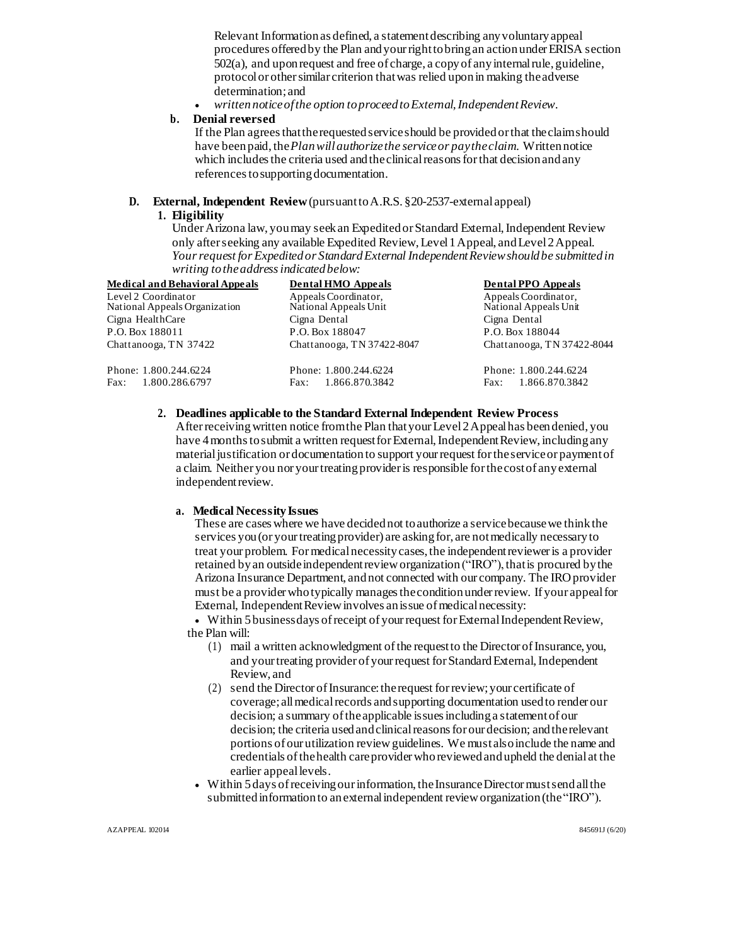Relevant Informationas defined, a statementdescribing anyvoluntaryappeal procedures offeredby the Plan andyourrighttobringan actionunderERISA section 502(a), and uponrequest and free of charge, a copyof anyinternalrule, guideline, protocolor othersimilar criterion thatwas relied uponin making theadverse determination; and

*writtennoticeofthe option toproceedtoExternal,IndependentReview.*

### **b. Denial reversed**

If the Plan agreesthattherequestedserviceshould be providedorthat theclaimshould have beenpaid,the*Planwillauthorizethe serviceor paytheclaim*. Writtennotice which includes the criteria used and the clinical reasons for that decision and any references to supporting documentation.

# **D. External, Independent Review**(pursuanttoA.R.S. §20-2537-external appeal)

# **1. Eligibility**

Under Arizona law, you may seek an Expedited or Standard External, Independent Review only afterseeking any available Expedited Review,Level1Appeal, andLevel2Appeal. *Yourrequest for Expeditedor StandardExternal IndependentReviewshouldbe submittedin writing totheaddressindicatedbelow:*

| <b>Medical and Behavioral Appeals</b>             | <b>Dental HMO Appeals</b>             | <b>Dental PPO Appeals</b>             |
|---------------------------------------------------|---------------------------------------|---------------------------------------|
| Level 2 Coordinator                               | Appeals Coordinator,                  | Appeals Coordinator,                  |
| National Appeals Organization<br>Cigna HealthCare | National Appeals Unit<br>Cigna Dental | National Appeals Unit<br>Cigna Dental |
| P.O. Box 188011                                   | P.O. Box 188047                       | P.O. Box 188044                       |
| Chattanooga, TN 37422                             | Chattanooga, TN 37422-8047            | Chattanooga, TN 37422-8044            |
| Phone: 1.800.244.6224                             | Phone: 1.800.244.6224                 | Phone: 1.800.244.6224                 |
| Fax: 1.800.286.6797                               | Fax: 1.866.870.3842                   | 1.866.870.3842<br>Fax:                |

# **2. Deadlines applicable to the Standard ExternalIndependent Review Process**

Afterreceivingwritten notice fromthe Plan thatyourLevel2Appealhas beendenied, you have 4 months to submit a written request for External, Independent Review, including any materialjustification or documentation to support yourrequest fortheserviceor paymentof a claim. Neither you nor your treatingprovideris responsible forthecostof anyexternal independent review.

### **a. Medical NecessityIssues**

These are cases where we have decided not to authorize a service because we think the services you (or your treating provider) are asking for, are not medically necessary to treat your problem. Formedicalnecessitycases, the independentrevieweris a provider retained byan outsideindependentrevieworganization("IRO"), thatis procured bythe Arizona Insurance Department, andnot connected with our company. The IROprovider must be a providerwho typically managestheconditionunderreview. If your appealfor External, Independent Review involves an issue of medical necessity:

 Within 5businessdays ofreceipt of yourrequest forExternalIndependentReview, the Plan will:

- (1) mail a written acknowledgment of the request to the Director of Insurance, you, and your treating provider of your request for Standard External, Independent Review, and
- (2) send the Director of Insurance: the request for review; your certificate of coverage; all medical records and supporting documentation used to render our decision; a summary of the applicable issues including a statement of our decision; the criteria used and clinical reasons for our decision; and the relevant portions of our utilization reviewguidelines. We mustalsoinclude the name and credentials ofthehealth careproviderwhoreviewedandupheld the denial at the earlier appeallevels.
- Within 5days ofreceivingourinformation, theInsuranceDirectormustsendallthe submitted information to an external independent review organization (the "IRO").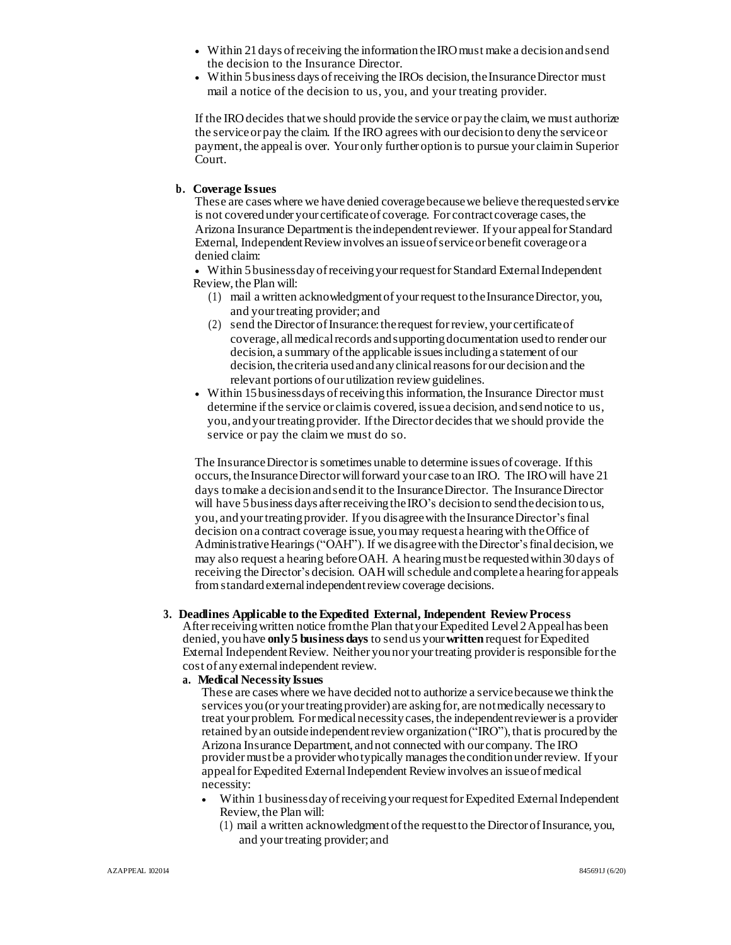- Within 21days ofreceiving the informationtheIROmust make a decisionandsend the decision to the Insurance Director.
- Within 5 business days of receiving the IROs decision, the Insurance Director must mail a notice of the decision to us, you, and your treating provider.

If the IRO decides that we should provide the service or pay the claim, we must authorize the serviceor pay the claim. If the IRO agrees with our decisionto denythe serviceor payment, the appealis over. Your only further optionis to pursue your claimin Superior Court.

#### **b. Coverage Issues**

These are cases where we have denied coveragebecausewe believe therequestedservice is not covered under your certificate of coverage. For contract coverage cases, the Arizona Insurance Department is the independent reviewer. If your appeal for Standard External, Independent Review involves an issue of service or benefit coverage or a denied claim:

 Within 5businessdayofreceivingyourrequestforStandard ExternalIndependent Review, the Plan will:

- (1) mail a written acknowledgment of your request to the Insurance Director, you, and yourtreating provider; and
- (2) send the Director of Insurance: the request for review, your certificate of coverage, all medical records and supporting documentation used to render our decision, a summary ofthe applicable issuesincludinga statement of our decision, the criteria used and any clinical reasons for our decision and the relevant portions of our utilization review guidelines.
- Within 15businessdays ofreceivingthis information, the Insurance Director must determine if the service or claim is covered, issue a decision, and send notice to us, you, and yourtreatingprovider. Ifthe Director decidesthat we should provide the service or pay the claimwe must do so.

The InsuranceDirectoris sometimes unable to determine issues of coverage. Ifthis occurs, the Insurance Director will forward your case to an IRO. The IRO will have 21 days to make a decision and send it to the Insurance Director. The Insurance Director will have 5 business days after receiving the IRO's decision to send the decision to us, you, and your treating provider. If you disagree with the Insurance Director's final decision ona contract coverage issue, youmay request a hearingwith theOffice of Administrative Hearings ("OAH"). If we disagree with the Director's final decision, we may also request a hearing beforeOAH. A hearingmustbe requested within30days of receiving the Director's decision. OAHwillschedule andcompletea hearingfor appeals fromstandardexternalindependentreviewcoverage decisions.

# **3. Deadlines Applicable to the Expedited External, Independent ReviewProcess**

Afterreceivingwritten notice fromthe Plan thatyourExpedited Level2Appealhas been denied, youhave **only5 business days** to sendus your**written** request forExpedited External Independent Review. Neither you nor your treating provider is responsible for the cost of anyexternalindependent review.

### **a. Medical Necessity Issues**

These are cases where we have decided notto authorize a servicebecause we thinkthe services you (or your treating provider) are asking for, are not medically necessary to treat your problem. For medical necessity cases, the independent reviewer is a provider retained by an outside independent review organization ("IRO"), that is procured by the Arizona Insurance Department, andnot connected with our company. The IRO providermustbe a providerwhotypically managestheconditionunderreview. If your appealforExpedited ExternalIndependent Reviewinvolves an issueofmedical necessity:

- Within 1businessdayofreceivingyourrequestforExpedited ExternalIndependent Review, the Plan will:
	- (1) mail a written acknowledgmentofthe requestto the Director ofInsurance, you, and yourtreating provider; and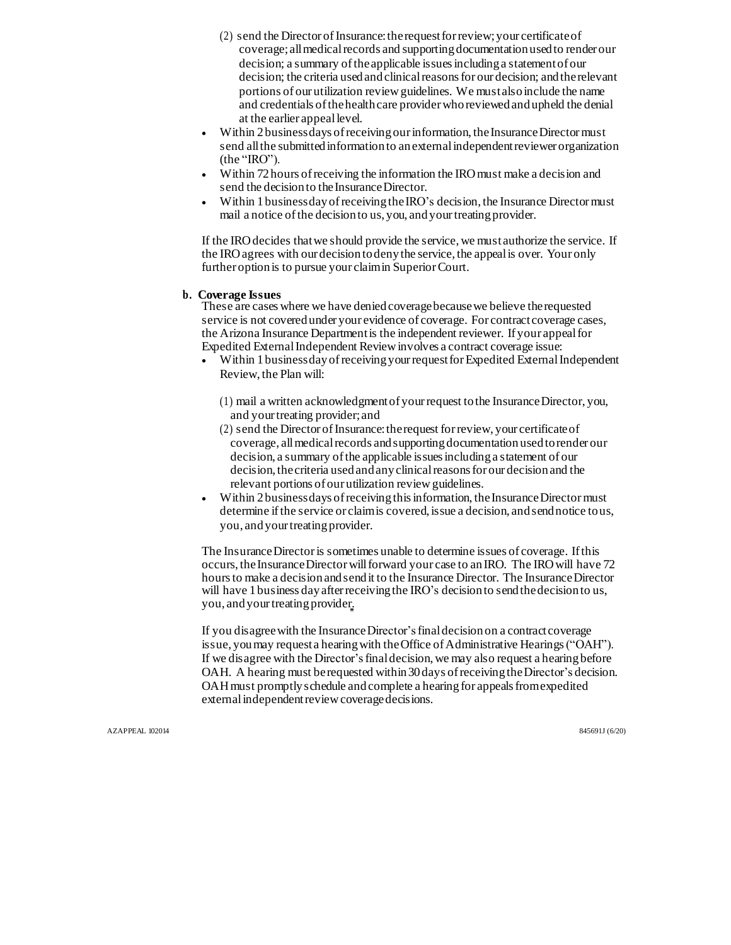- $(2)$  send the Director of Insurance: the request for review; your certificate of coverage; allmedicalrecords and supportingdocumentation usedto render our decision; a summary oftheapplicable issuesincludinga statementof our decision; the criteria used and clinical reasons for our decision; and the relevant portions of our utilization reviewguidelines. We mustalsoinclude the name and credentials of the health care provider who reviewed and upheld the denial at the earlier appeallevel.
- Within 2 businessdays of receiving our information, the Insurance Director must send all the submitted information to an external independent reviewer organization (the "IRO").
- Within 72 hours of receiving the information the IRO must make a decision and send the decision to the Insurance Director.
- Within 1 businessday of receiving the IRO's decision, the Insurance Director must mail a notice of the decision to us, you, and your treating provider.

If the IRO decides that we should provide the service, we must authorize the service. If the IROagrees with our decisiontodenythe service, the appealis over. Your only further option is to pursue your claim in Superior Court.

#### **b. Coverage Issues**

These are cases where we have denied coverage because we believe the requested service is not coveredunder your evidence of coverage. For contract coverage cases, the Arizona Insurance Departmentis the independent reviewer. If your appealfor Expedited ExternalIndependent Reviewinvolves a contract coverage issue:

- Within 1businessdayofreceivingyourrequestforExpedited ExternalIndependent Review, the Plan will:
	- (1) mail a written acknowledgmentof yourrequest tothe InsuranceDirector, you, and yourtreating provider; and
	- $(2)$  send the Director of Insurance: the request for review, your certificate of coverage, all medical records and supporting documentation used to render our decision, a summary ofthe applicable issuesincludinga statement of our decision, the criteria used and any clinical reasons for our decision and the relevant portions of our utilization review guidelines.
- Within 2businessdays ofreceivingthisinformation, theInsuranceDirectormust determine if the service or claimis covered, issue a decision, and send notice tous, you, and your treating provider.

The InsuranceDirectoris sometimes unable to determine issues of coverage. Ifthis occurs, the Insurance Director will forward your case to an IRO. The IRO will have 72 hours to make a decision and send it to the Insurance Director. The Insurance Director will have 1 business day after receiving the IRO's decision to send the decision to us, you, and your treating provider.

If you disagreewith the InsuranceDirector'sfinaldecisionon a contract coverage issue, you may request a hearing with the Office of Administrative Hearings ("OAH"). If we disagree with the Director'sfinaldecision,we may also request a hearingbefore OAH. A hearing must be requested within 30 days of receiving the Director's decision. OAHmust promptly schedule andcomplete a hearingfor appealsfromexpedited external independent review coverage decisions.

AZAPPEAL 102014 845691J (6/20)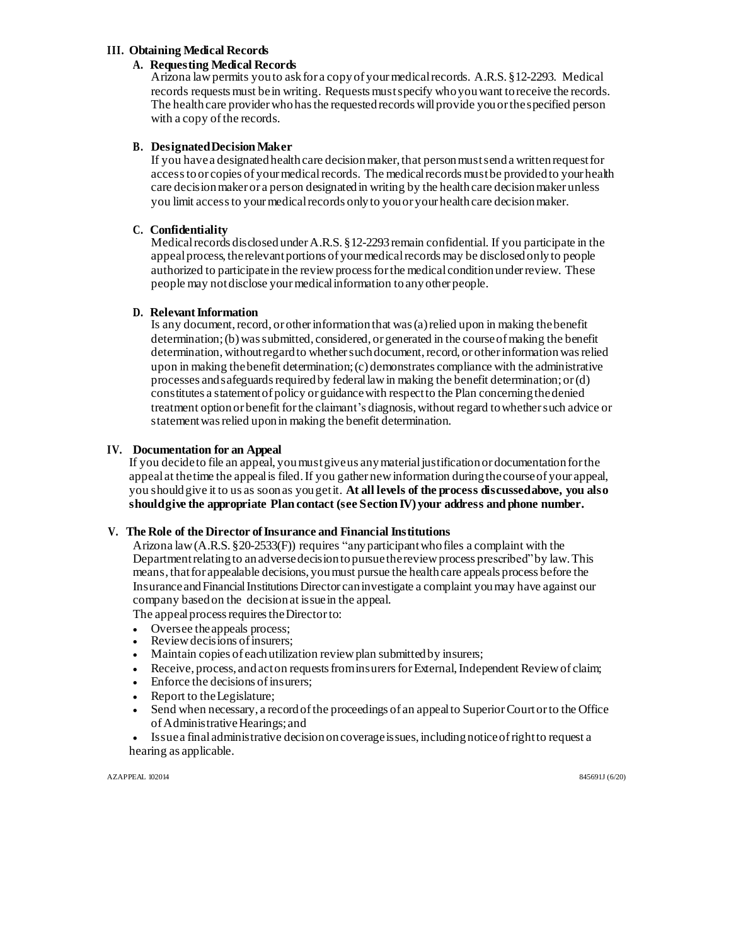### **III. Obtaining Medical Records**

### **A. Requesting Medical Records**

Arizona lawpermits youto askfor a copyof yourmedicalrecords. A.R.S. §12-2293. Medical records requestsmust bein writing. Requests mustspecify who youwant toreceive the records. The health care provider who has the requested records will provide you or the specified person with a copy of the records.

### **B. DesignatedDecisionMaker**

If you have a designated health care decision maker, that person must send a written request for access to or copies of your medical records. The medical records must be provided to your health care decision maker or a person designated in writing by the health care decision maker unless you limit access to your medical records only to you or your health care decision maker.

### **C. Confidentiality**

Medical records disclosed under A.R.S. §12-2293 remain confidential. If you participate in the appealprocess, therelevantportions of yourmedicalrecordsmay be disclosedonlyto people authorized to participate in the review process for the medical condition under review. These people may notdisclose yourmedicalinformation toanyother people.

### **D. Relevant Information**

Is any document, record, or other information that was  $(a)$  relied upon in making the benefit determination; (b) was submitted, considered, or generated in the course of making the benefit determination, without regard to whether such document, record, or other information was relied upon in making thebenefit determination;(c) demonstrates compliance with the administrative processes and safeguards required by federal law in making the benefit determination; or  $(d)$ constitutes a statementof policy or guidancewith respectto the Plan concerningthedenied treatment optionor benefit forthe claimant's diagnosis,without regard towhethersuch advice or statement was relied upon in making the benefit determination.

### **IV. Documentation for an Appeal**

If you decideto file an appeal, youmustgive us anymaterialjustification or documentation forthe appeal at thetime the appealis filed.If you gather newinformation duringthecourseof your appeal, you shouldgive it to us as soonas yougetit. **At all levels of the process discussedabove, you also shouldgive the appropriate Plan contact (see Section IV) your address and phone number.**

#### **V. The Role of the Director ofInsurance and Financial Institutions**

Arizona law(A.R.S. §20-2533(F)) requires "anyparticipantwhofiles a complaint with the Department relating to an adverse decision to pursue the review process prescribed" by law. This means, that for appealable decisions, you must pursue the health care appeals process before the Insuranceand Financial Institutions Director caninvestigate a complaint youmay have against our company basedon the decisionat issuein the appeal.

The appeal process requires the Director to:

- Oversee theappeals process;
- Review decisions of insurers;
- Maintain copies of each utilization review plan submitted by insurers;
- Receive, process, and act on requests from insurers for External, Independent Review of claim;
- Enforce the decisions of insurers;
- Report to theLegislature;
- Send when necessary, a recordofthe proceedings of an appealto SuperiorCourtorto the Office ofAdministrativeHearings; and
- Issuea finaladministrative decisiononcoverageissues,includingnoticeofrightto request a hearing as applicable.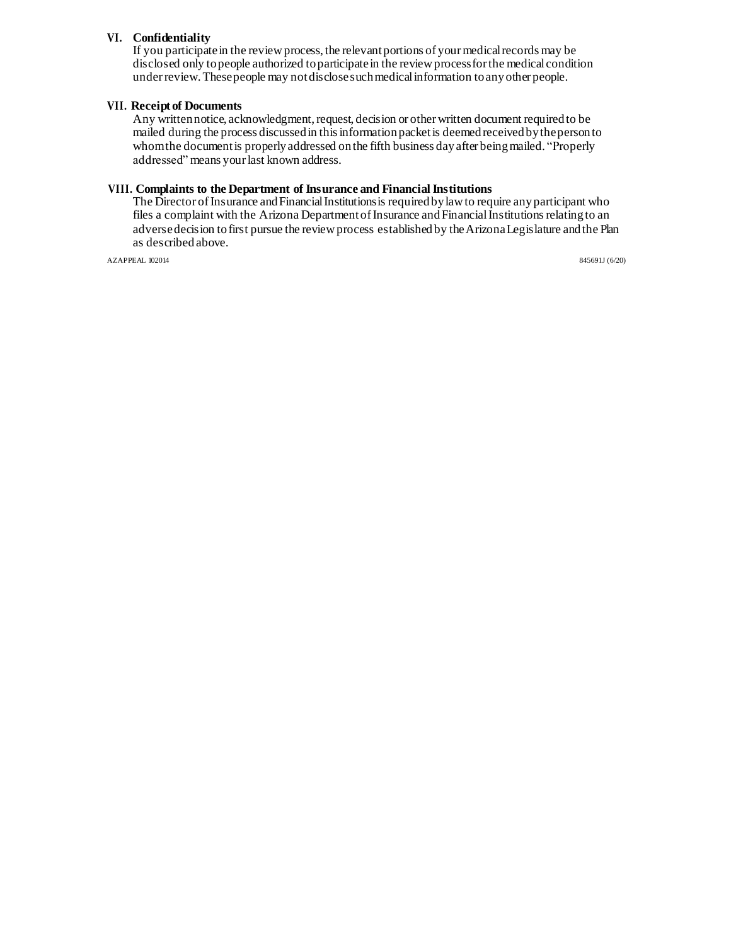### **VI. Confidentiality**

If you participate in the review process, the relevant portions of your medical records may be disclosed only topeople authorized toparticipatein the reviewprocessforthe medical condition underreview.Thesepeople may notdisclosesuchmedicalinformation toanyother people.

#### **VII. Receipt of Documents**

Any written notice, acknowledgment, request, decision or other written document required to be mailed during the process discussedin thisinformationpacketis deemedreceivedbythepersonto whom the document is properly addressed on the fifth business day after being mailed. "Properly addressed" means yourlast known address.

#### **VIII. Complaints to the Department of Insurance and Financial Institutions**

The Director of Insurance and Financial Institutions is required by law to require any participant who files a complaint with the Arizona Department of Insurance and Financial Institutions relating to an adversedecision tofirst pursue the reviewprocess establishedby theArizonaLegislature andthe Plan as described above.

AZAPPEAL 102014 845691J (6/20)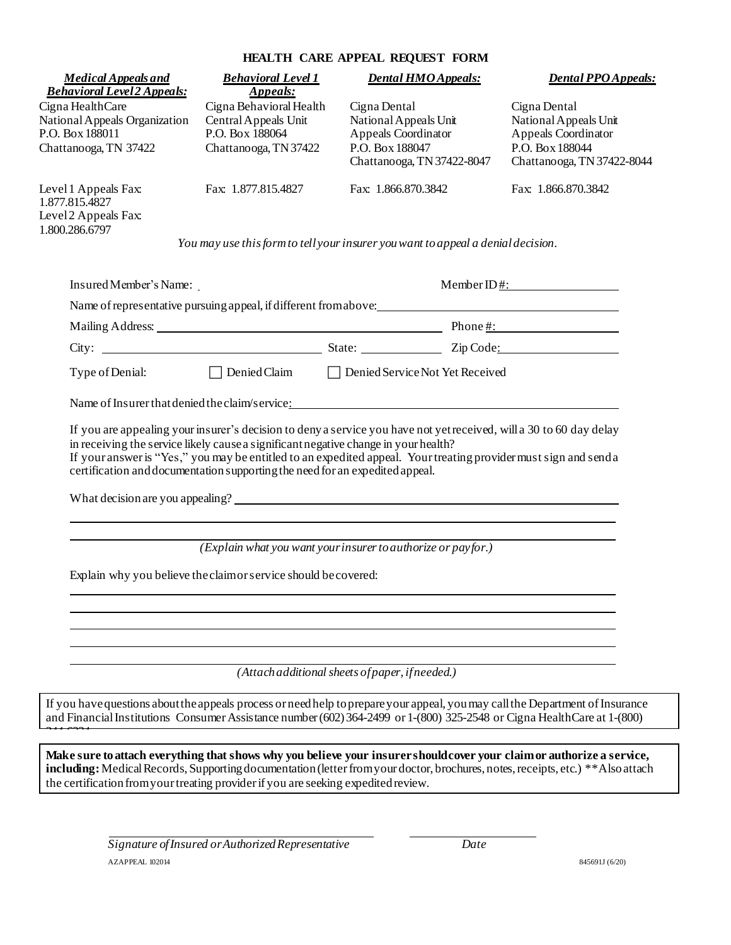# **HEALTH CARE APPEAL REQUEST FORM**

| <b>Behavioral Level 2 Appeals:</b>                                                            | <b>Behavioral Level 1</b><br>Appeals:                                                                                                                               | <b>Dental HMO Appeals:</b>                                                                                                                                                                                                                                                 | <b>Dental PPO Appeals:</b>                                                                                    |
|-----------------------------------------------------------------------------------------------|---------------------------------------------------------------------------------------------------------------------------------------------------------------------|----------------------------------------------------------------------------------------------------------------------------------------------------------------------------------------------------------------------------------------------------------------------------|---------------------------------------------------------------------------------------------------------------|
| Cigna HealthCare<br>National Appeals Organization<br>P.O. Box 188011<br>Chattanooga, TN 37422 | Cigna Behavioral Health<br>Central Appeals Unit<br>P.O. Box 188064<br>Chattanooga, TN 37422                                                                         | Cigna Dental<br>National Appeals Unit<br>Appeals Coordinator<br>P.O. Box 188047<br>Chattanooga, TN 37422-8047                                                                                                                                                              | Cigna Dental<br>National Appeals Unit<br>Appeals Coordinator<br>P.O. Box 188044<br>Chattanooga, TN 37422-8044 |
| Level 1 Appeals Fax:<br>1.877.815.4827<br>Level 2 Appeals Fax:<br>1.800.286.6797              | Fax: 1.877.815.4827                                                                                                                                                 | Fax: 1.866.870.3842                                                                                                                                                                                                                                                        | Fax: 1.866.870.3842                                                                                           |
|                                                                                               |                                                                                                                                                                     | You may use this form to tell your insurer you want to appeal a denial decision.                                                                                                                                                                                           |                                                                                                               |
| Insured Member's Name:                                                                        |                                                                                                                                                                     |                                                                                                                                                                                                                                                                            | Member ID $\frac{4}{1}$ :                                                                                     |
|                                                                                               |                                                                                                                                                                     | Name of representative pursuing appeal, if different from above:                                                                                                                                                                                                           |                                                                                                               |
|                                                                                               |                                                                                                                                                                     | Mailing Address: Phone #:                                                                                                                                                                                                                                                  |                                                                                                               |
|                                                                                               |                                                                                                                                                                     |                                                                                                                                                                                                                                                                            |                                                                                                               |
| Type of Denial:                                                                               |                                                                                                                                                                     | □ Denied Claim □ Denied Service Not Yet Received                                                                                                                                                                                                                           |                                                                                                               |
|                                                                                               | in receiving the service likely cause a significant negative change in your health?<br>certification and documentation supporting the need for an expedited appeal. | If you are appealing your insurer's decision to deny a service you have not yet received, will a 30 to 60 day delay<br>If your answer is "Yes," you may be entitled to an expedited appeal. Your treating provider must sign and senda<br>What decision are you appealing? |                                                                                                               |
|                                                                                               |                                                                                                                                                                     | (Explain what you want your insurer to authorize or payfor.)                                                                                                                                                                                                               |                                                                                                               |
|                                                                                               | Explain why you believe the claim or service should be covered:                                                                                                     |                                                                                                                                                                                                                                                                            |                                                                                                               |
|                                                                                               |                                                                                                                                                                     |                                                                                                                                                                                                                                                                            |                                                                                                               |
|                                                                                               |                                                                                                                                                                     |                                                                                                                                                                                                                                                                            |                                                                                                               |
|                                                                                               |                                                                                                                                                                     | (Attach additional sheets of paper, if needed.)                                                                                                                                                                                                                            |                                                                                                               |